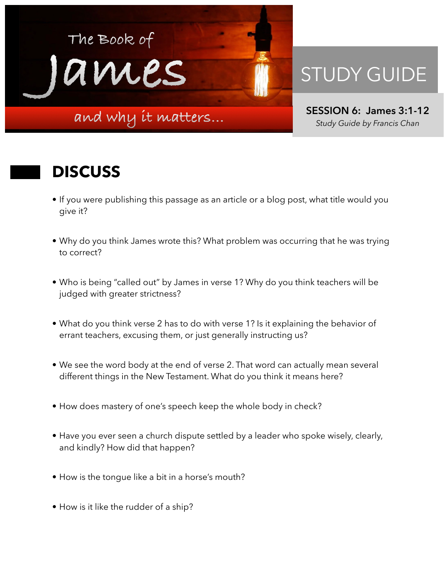

## STUDY GUIDE

**SESSION 6: James 3:1-12**  *Study Guide by Francis Chan*

## **DISCUSS**

- If you were publishing this passage as an article or a blog post, what title would you give it?
- Why do you think James wrote this? What problem was occurring that he was trying to correct?
- Who is being "called out" by James in verse 1? Why do you think teachers will be judged with greater strictness?
- What do you think verse 2 has to do with verse 1? Is it explaining the behavior of errant teachers, excusing them, or just generally instructing us?
- We see the word body at the end of verse 2. That word can actually mean several different things in the New Testament. What do you think it means here?
- How does mastery of one's speech keep the whole body in check?
- Have you ever seen a church dispute settled by a leader who spoke wisely, clearly, and kindly? How did that happen?
- How is the tongue like a bit in a horse's mouth?
- How is it like the rudder of a ship?